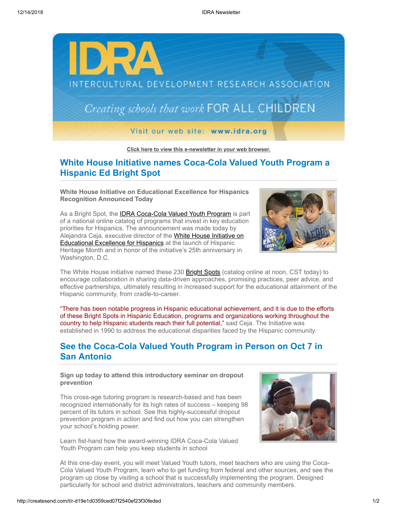

**[Click here to view this e-newsletter in your web browser.](http://newsletter.impulsedevelopment.com/t/r-e-fkldjkd-l-r/)**

## **White House Initiative names Coca-Cola Valued Youth Program a Hispanic Ed Bright Spot**

**White House Initiative on Educational Excellence for Hispanics Recognition Announced Today**

As a Bright Spot, the **IDRA Coca-Cola Valued Youth Program** is part of a national online catalog of programs that invest in key education priorities for Hispanics. The announcement was made today by [Alejandra Ceja, executive director of the White House Initiative on](http://idra.createsend1.com/t/r-l-fkldjkd-l-d/) **Educational Excellence for Hispanics** at the launch of Hispanic Heritage Month and in honor of the initiative's 25th anniversary in Washington, D.C.



The White House initiative named these 230 **Bright Spots** (catalog online at noon, CST today) to encourage collaboration in sharing data-driven approaches, promising practices, peer advice, and effective partnerships, ultimately resulting in increased support for the educational attainment of the Hispanic community, from cradle-to-career.

"There has been notable progress in Hispanic educational achievement, and it is due to the efforts of these Bright Spots in Hispanic Education, programs and organizations working throughout the country to help Hispanic students reach their full potential," said Ceja. The Initiative was established in 1990 to address the educational disparities faced by the Hispanic community.

## **See the Coca-Cola Valued Youth Program in Person on Oct 7 in San Antonio**

**Sign up today to attend this introductory seminar on dropout prevention**

This cross-age tutoring program is research-based and has been recognized internationally for its high rates of success – keeping 98 percent of its tutors in school. See this highly-successful dropout prevention program in action and find out how you can strengthen your school's holding power.

Learn fist-hand how the award-winning IDRA Coca-Cola Valued Youth Program can help you keep students in school



At this one-day event, you will meet Valued Youth tutors, meet teachers who are using the Coca-Cola Valued Youth Program, learn who to get funding from federal and other sources, and see the program up close by visiting a school that is successfully implementing the program. Designed particularly for school and district administrators, teachers and community members.